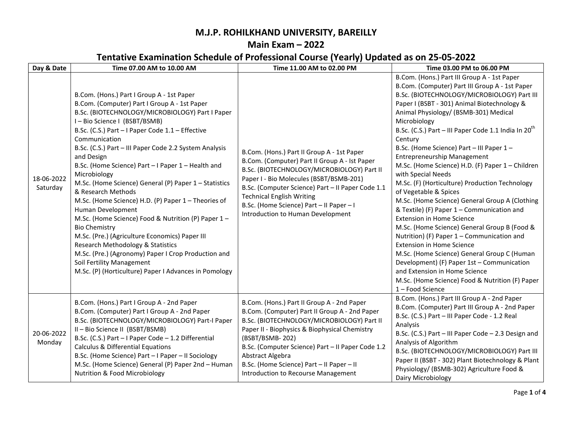## M.J.P. ROHILKHAND UNIVERSITY, BAREILLY

## Main Exam – 2022

## Tentative Examination Schedule of Professional Course (Yearly) Updated as on 25-05-2022

| Day & Date             | Time 07.00 AM to 10.00 AM                                                                                                                                                                                                                                                                                                                                                                                                                                                                                                                                                                                                                                                                                                                                                                                                                                                   | Time 11.00 AM to 02.00 PM                                                                                                                                                                                                                                                                                                                                                  | Time 03.00 PM to 06.00 PM                                                                                                                                                                                                                                                                                                                                                                                                                                                                                                                                                                                                                                                                                                                                                                                                                                                                                                                                                                                                                            |
|------------------------|-----------------------------------------------------------------------------------------------------------------------------------------------------------------------------------------------------------------------------------------------------------------------------------------------------------------------------------------------------------------------------------------------------------------------------------------------------------------------------------------------------------------------------------------------------------------------------------------------------------------------------------------------------------------------------------------------------------------------------------------------------------------------------------------------------------------------------------------------------------------------------|----------------------------------------------------------------------------------------------------------------------------------------------------------------------------------------------------------------------------------------------------------------------------------------------------------------------------------------------------------------------------|------------------------------------------------------------------------------------------------------------------------------------------------------------------------------------------------------------------------------------------------------------------------------------------------------------------------------------------------------------------------------------------------------------------------------------------------------------------------------------------------------------------------------------------------------------------------------------------------------------------------------------------------------------------------------------------------------------------------------------------------------------------------------------------------------------------------------------------------------------------------------------------------------------------------------------------------------------------------------------------------------------------------------------------------------|
| 18-06-2022<br>Saturday | B.Com. (Hons.) Part I Group A - 1st Paper<br>B.Com. (Computer) Part I Group A - 1st Paper<br>B.Sc. (BIOTECHNOLOGY/MICROBIOLOGY) Part I Paper<br>I-Bio Science I (BSBT/BSMB)<br>B.Sc. (C.S.) Part - I Paper Code 1.1 - Effective<br>Communication<br>B.Sc. (C.S.) Part - III Paper Code 2.2 System Analysis<br>and Design<br>B.Sc. (Home Science) Part - I Paper 1 - Health and<br>Microbiology<br>M.Sc. (Home Science) General (P) Paper 1 - Statistics<br>& Research Methods<br>M.Sc. (Home Science) H.D. (P) Paper 1 - Theories of<br>Human Development<br>M.Sc. (Home Science) Food & Nutrition (P) Paper 1-<br><b>Bio Chemistry</b><br>M.Sc. (Pre.) (Agriculture Economics) Paper III<br>Research Methodology & Statistics<br>M.Sc. (Pre.) (Agronomy) Paper I Crop Production and<br>Soil Fertility Management<br>M.Sc. (P) (Horticulture) Paper I Advances in Pomology | B.Com. (Hons.) Part II Group A - 1st Paper<br>B.Com. (Computer) Part II Group A - Ist Paper<br>B.Sc. (BIOTECHNOLOGY/MICROBIOLOGY) Part II<br>Paper I - Bio Molecules (BSBT/BSMB-201)<br>B.Sc. (Computer Science) Part - II Paper Code 1.1<br><b>Technical English Writing</b><br>B.Sc. (Home Science) Part - II Paper - I<br>Introduction to Human Development             | B.Com. (Hons.) Part III Group A - 1st Paper<br>B.Com. (Computer) Part III Group A - 1st Paper<br>B.Sc. (BIOTECHNOLOGY/MICROBIOLOGY) Part III<br>Paper I (BSBT - 301) Animal Biotechnology &<br>Animal Physiology/ (BSMB-301) Medical<br>Microbiology<br>B.Sc. (C.S.) Part - III Paper Code 1.1 India In 20 <sup>th</sup><br>Century<br>B.Sc. (Home Science) Part - III Paper 1 -<br><b>Entrepreneurship Management</b><br>M.Sc. (Home Science) H.D. (F) Paper 1 - Children<br>with Special Needs<br>M.Sc. (F) (Horticulture) Production Technology<br>of Vegetable & Spices<br>M.Sc. (Home Science) General Group A (Clothing<br>& Textile) (F) Paper 1 - Communication and<br><b>Extension in Home Science</b><br>M.Sc. (Home Science) General Group B (Food &<br>Nutrition) (F) Paper 1 - Communication and<br><b>Extension in Home Science</b><br>M.Sc. (Home Science) General Group C (Human<br>Development) (F) Paper 1st - Communication<br>and Extension in Home Science<br>M.Sc. (Home Science) Food & Nutrition (F) Paper<br>1-Food Science |
| 20-06-2022<br>Monday   | B.Com. (Hons.) Part I Group A - 2nd Paper<br>B.Com. (Computer) Part I Group A - 2nd Paper<br>B.Sc. (BIOTECHNOLOGY/MICROBIOLOGY) Part-I Paper<br>II - Bio Science II (BSBT/BSMB)<br>B.Sc. (C.S.) Part - I Paper Code - 1.2 Differential<br><b>Calculus &amp; Differential Equations</b><br>B.Sc. (Home Science) Part - I Paper - II Sociology<br>M.Sc. (Home Science) General (P) Paper 2nd - Human<br><b>Nutrition &amp; Food Microbiology</b>                                                                                                                                                                                                                                                                                                                                                                                                                              | B.Com. (Hons.) Part II Group A - 2nd Paper<br>B.Com. (Computer) Part II Group A - 2nd Paper<br>B.Sc. (BIOTECHNOLOGY/MICROBIOLOGY) Part II<br>Paper II - Biophysics & Biophysical Chemistry<br>(BSBT/BSMB-202)<br>B.Sc. (Computer Science) Part - Il Paper Code 1.2<br>Abstract Algebra<br>B.Sc. (Home Science) Part - II Paper - II<br>Introduction to Recourse Management | B.Com. (Hons.) Part III Group A - 2nd Paper<br>B.Com. (Computer) Part III Group A - 2nd Paper<br>B.Sc. (C.S.) Part - III Paper Code - 1.2 Real<br>Analysis<br>B.Sc. (C.S.) Part - III Paper Code - 2.3 Design and<br>Analysis of Algorithm<br>B.Sc. (BIOTECHNOLOGY/MICROBIOLOGY) Part III<br>Paper II (BSBT - 302) Plant Biotechnology & Plant<br>Physiology/ (BSMB-302) Agriculture Food &<br>Dairy Microbiology                                                                                                                                                                                                                                                                                                                                                                                                                                                                                                                                                                                                                                    |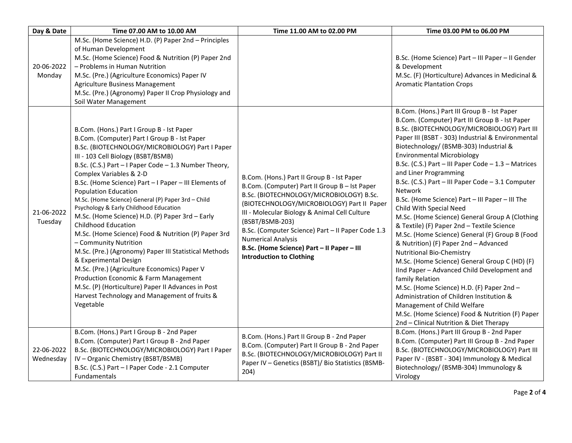| Day & Date              | Time 07.00 AM to 10.00 AM                                                                                                                                                                                                                                                                                                                                                                                                                                                                                                                                                                                                                                                                                                                                                                                                                                                                                                      | Time 11.00 AM to 02.00 PM                                                                                                                                                                                                                                                                                                                                                                                                    | Time 03.00 PM to 06.00 PM                                                                                                                                                                                                                                                                                                                                                                                                                                                                                                                                                                                                                                                                                                                                                                                                                                                                                                                                                                                                                                                              |
|-------------------------|--------------------------------------------------------------------------------------------------------------------------------------------------------------------------------------------------------------------------------------------------------------------------------------------------------------------------------------------------------------------------------------------------------------------------------------------------------------------------------------------------------------------------------------------------------------------------------------------------------------------------------------------------------------------------------------------------------------------------------------------------------------------------------------------------------------------------------------------------------------------------------------------------------------------------------|------------------------------------------------------------------------------------------------------------------------------------------------------------------------------------------------------------------------------------------------------------------------------------------------------------------------------------------------------------------------------------------------------------------------------|----------------------------------------------------------------------------------------------------------------------------------------------------------------------------------------------------------------------------------------------------------------------------------------------------------------------------------------------------------------------------------------------------------------------------------------------------------------------------------------------------------------------------------------------------------------------------------------------------------------------------------------------------------------------------------------------------------------------------------------------------------------------------------------------------------------------------------------------------------------------------------------------------------------------------------------------------------------------------------------------------------------------------------------------------------------------------------------|
| 20-06-2022<br>Monday    | M.Sc. (Home Science) H.D. (P) Paper 2nd - Principles<br>of Human Development<br>M.Sc. (Home Science) Food & Nutrition (P) Paper 2nd<br>- Problems in Human Nutrition<br>M.Sc. (Pre.) (Agriculture Economics) Paper IV<br>Agriculture Business Management<br>M.Sc. (Pre.) (Agronomy) Paper II Crop Physiology and<br>Soil Water Management                                                                                                                                                                                                                                                                                                                                                                                                                                                                                                                                                                                      |                                                                                                                                                                                                                                                                                                                                                                                                                              | B.Sc. (Home Science) Part - III Paper - II Gender<br>& Development<br>M.Sc. (F) (Horticulture) Advances in Medicinal &<br><b>Aromatic Plantation Crops</b>                                                                                                                                                                                                                                                                                                                                                                                                                                                                                                                                                                                                                                                                                                                                                                                                                                                                                                                             |
| 21-06-2022<br>Tuesday   | B.Com. (Hons.) Part I Group B - Ist Paper<br>B.Com. (Computer) Part I Group B - Ist Paper<br>B.Sc. (BIOTECHNOLOGY/MICROBIOLOGY) Part I Paper<br>III - 103 Cell Biology (BSBT/BSMB)<br>B.Sc. (C.S.) Part - I Paper Code - 1.3 Number Theory,<br>Complex Variables & 2-D<br>B.Sc. (Home Science) Part - I Paper - III Elements of<br><b>Population Education</b><br>M.Sc. (Home Science) General (P) Paper 3rd - Child<br>Psychology & Early Childhood Education<br>M.Sc. (Home Science) H.D. (P) Paper 3rd - Early<br><b>Childhood Education</b><br>M.Sc. (Home Science) Food & Nutrition (P) Paper 3rd<br>- Community Nutrition<br>M.Sc. (Pre.) (Agronomy) Paper III Statistical Methods<br>& Experimental Design<br>M.Sc. (Pre.) (Agriculture Economics) Paper V<br>Production Economic & Farm Management<br>M.Sc. (P) (Horticulture) Paper II Advances in Post<br>Harvest Technology and Management of fruits &<br>Vegetable | B.Com. (Hons.) Part II Group B - Ist Paper<br>B.Com. (Computer) Part II Group B - Ist Paper<br>B.Sc. (BIOTECHNOLOGY/MICROBIOLOGY) B.Sc.<br>(BIOTECHNOLOGY/MICROBIOLOGY) Part II Paper<br>III - Molecular Biology & Animal Cell Culture<br>(BSBT/BSMB-203)<br>B.Sc. (Computer Science) Part - Il Paper Code 1.3<br><b>Numerical Analysis</b><br>B.Sc. (Home Science) Part - II Paper - III<br><b>Introduction to Clothing</b> | B.Com. (Hons.) Part III Group B - Ist Paper<br>B.Com. (Computer) Part III Group B - Ist Paper<br>B.Sc. (BIOTECHNOLOGY/MICROBIOLOGY) Part III<br>Paper III (BSBT - 303) Industrial & Environmental<br>Biotechnology/ (BSMB-303) Industrial &<br><b>Environmental Microbiology</b><br>B.Sc. (C.S.) Part - III Paper Code - 1.3 - Matrices<br>and Liner Programming<br>B.Sc. (C.S.) Part - III Paper Code - 3.1 Computer<br>Network<br>B.Sc. (Home Science) Part - III Paper - III The<br>Child With Special Need<br>M.Sc. (Home Science) General Group A (Clothing<br>& Textile) (F) Paper 2nd - Textile Science<br>M.Sc. (Home Science) General (F) Group B (Food<br>& Nutrition) (F) Paper 2nd - Advanced<br><b>Nutritional Bio-Chemistry</b><br>M.Sc. (Home Science) General Group C (HD) (F)<br>IInd Paper - Advanced Child Development and<br>family Relation<br>M.Sc. (Home Science) H.D. (F) Paper 2nd -<br>Administration of Children Institution &<br>Management of Child Welfare<br>M.Sc. (Home Science) Food & Nutrition (F) Paper<br>2nd - Clinical Nutrition & Diet Therapy |
| 22-06-2022<br>Wednesday | B.Com. (Hons.) Part I Group B - 2nd Paper<br>B.Com. (Computer) Part I Group B - 2nd Paper<br>B.Sc. (BIOTECHNOLOGY/MICROBIOLOGY) Part I Paper<br>IV - Organic Chemistry (BSBT/BSMB)<br>B.Sc. (C.S.) Part - I Paper Code - 2.1 Computer<br>Fundamentals                                                                                                                                                                                                                                                                                                                                                                                                                                                                                                                                                                                                                                                                          | B.Com. (Hons.) Part II Group B - 2nd Paper<br>B.Com. (Computer) Part II Group B - 2nd Paper<br>B.Sc. (BIOTECHNOLOGY/MICROBIOLOGY) Part II<br>Paper IV - Genetics (BSBT)/ Bio Statistics (BSMB-<br>204)                                                                                                                                                                                                                       | B.Com. (Hons.) Part III Group B - 2nd Paper<br>B.Com. (Computer) Part III Group B - 2nd Paper<br>B.Sc. (BIOTECHNOLOGY/MICROBIOLOGY) Part III<br>Paper IV - (BSBT - 304) Immunology & Medical<br>Biotechnology/ (BSMB-304) Immunology &<br>Virology                                                                                                                                                                                                                                                                                                                                                                                                                                                                                                                                                                                                                                                                                                                                                                                                                                     |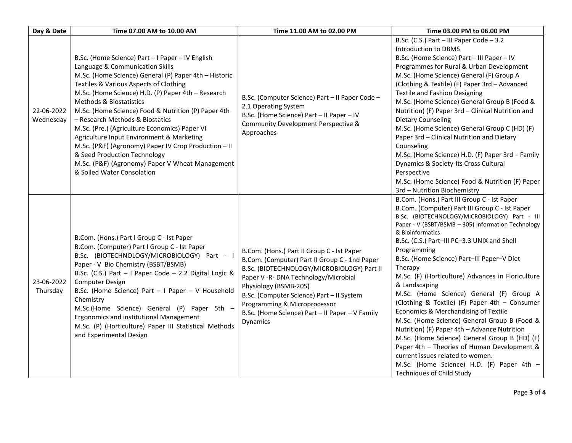| Day & Date              | Time 07.00 AM to 10.00 AM                                                                                                                                                                                                                                                                                                                                                                                                                                                                                                                                                                                                                | Time 11.00 AM to 02.00 PM                                                                                                                                                                                                                                                                                                                              | Time 03.00 PM to 06.00 PM                                                                                                                                                                                                                                                                                                                                                                                                                                                                                                                                                                                                                                                                                                                                                                                                                                                       |
|-------------------------|------------------------------------------------------------------------------------------------------------------------------------------------------------------------------------------------------------------------------------------------------------------------------------------------------------------------------------------------------------------------------------------------------------------------------------------------------------------------------------------------------------------------------------------------------------------------------------------------------------------------------------------|--------------------------------------------------------------------------------------------------------------------------------------------------------------------------------------------------------------------------------------------------------------------------------------------------------------------------------------------------------|---------------------------------------------------------------------------------------------------------------------------------------------------------------------------------------------------------------------------------------------------------------------------------------------------------------------------------------------------------------------------------------------------------------------------------------------------------------------------------------------------------------------------------------------------------------------------------------------------------------------------------------------------------------------------------------------------------------------------------------------------------------------------------------------------------------------------------------------------------------------------------|
| 22-06-2022<br>Wednesday | B.Sc. (Home Science) Part - I Paper - IV English<br>Language & Communication Skills<br>M.Sc. (Home Science) General (P) Paper 4th - Historic<br>Textiles & Various Aspects of Clothing<br>M.Sc. (Home Science) H.D. (P) Paper 4th - Research<br>Methods & Biostatistics<br>M.Sc. (Home Science) Food & Nutrition (P) Paper 4th<br>– Research Methods & Biostatics<br>M.Sc. (Pre.) (Agriculture Economics) Paper VI<br>Agriculture Input Environment & Marketing<br>M.Sc. (P&F) (Agronomy) Paper IV Crop Production - II<br>& Seed Production Technology<br>M.Sc. (P&F) (Agronomy) Paper V Wheat Management<br>& Soiled Water Consolation | B.Sc. (Computer Science) Part - II Paper Code -<br>2.1 Operating System<br>B.Sc. (Home Science) Part - II Paper - IV<br>Community Development Perspective &<br>Approaches                                                                                                                                                                              | B.Sc. (C.S.) Part - III Paper Code - 3.2<br>Introduction to DBMS<br>B.Sc. (Home Science) Part - III Paper - IV<br>Programmes for Rural & Urban Development<br>M.Sc. (Home Science) General (F) Group A<br>(Clothing & Textile) (F) Paper 3rd - Advanced<br><b>Textile and Fashion Designing</b><br>M.Sc. (Home Science) General Group B (Food &<br>Nutrition) (F) Paper 3rd - Clinical Nutrition and<br>Dietary Counseling<br>M.Sc. (Home Science) General Group C (HD) (F)<br>Paper 3rd - Clinical Nutrition and Dietary<br>Counseling<br>M.Sc. (Home Science) H.D. (F) Paper 3rd - Family<br>Dynamics & Society-Its Cross Cultural<br>Perspective<br>M.Sc. (Home Science) Food & Nutrition (F) Paper<br>3rd - Nutrition Biochemistry                                                                                                                                          |
| 23-06-2022<br>Thursday  | B.Com. (Hons.) Part I Group C - Ist Paper<br>B.Com. (Computer) Part I Group C - Ist Paper<br>B.Sc. (BIOTECHNOLOGY/MICROBIOLOGY) Part - I<br>Paper - V Bio Chemistry (BSBT/BSMB)<br>B.Sc. (C.S.) Part - I Paper Code - 2.2 Digital Logic &<br>Computer Design<br>B.Sc. (Home Science) Part - I Paper - V Household<br>Chemistry<br>M.Sc.(Home Science) General (P) Paper 5th -<br>Ergonomics and institutional Management<br>M.Sc. (P) (Horticulture) Paper III Statistical Methods<br>and Experimental Design                                                                                                                            | B.Com. (Hons.) Part II Group C - Ist Paper<br>B.Com. (Computer) Part II Group C - 1nd Paper<br>B.Sc. (BIOTECHNOLOGY/MICROBIOLOGY) Part II<br>Paper V -R- DNA Technology/Microbial<br>Physiology (BSMB-205)<br>B.Sc. (Computer Science) Part - II System<br>Programming & Microprocessor<br>B.Sc. (Home Science) Part - II Paper - V Family<br>Dynamics | B.Com. (Hons.) Part III Group C - Ist Paper<br>B.Com. (Computer) Part III Group C - Ist Paper<br>B.Sc. (BIOTECHNOLOGY/MICROBIOLOGY) Part - III<br>Paper - V (BSBT/BSMB - 305) Information Technology<br>& Bioinformatics<br>B.Sc. (C.S.) Part-III PC-3.3 UNIX and Shell<br>Programming<br>B.Sc. (Home Science) Part-III Paper-V Diet<br>Therapy<br>M.Sc. (F) (Horticulture) Advances in Floriculture<br>& Landscaping<br>M.Sc. (Home Science) General (F) Group A<br>(Clothing & Textile) (F) Paper 4th - Consumer<br>Economics & Merchandising of Textile<br>M.Sc. (Home Science) General Group B (Food &<br>Nutrition) (F) Paper 4th - Advance Nutrition<br>M.Sc. (Home Science) General Group B (HD) (F)<br>Paper 4th - Theories of Human Development &<br>current issues related to women.<br>M.Sc. (Home Science) H.D. (F) Paper 4th -<br><b>Techniques of Child Study</b> |